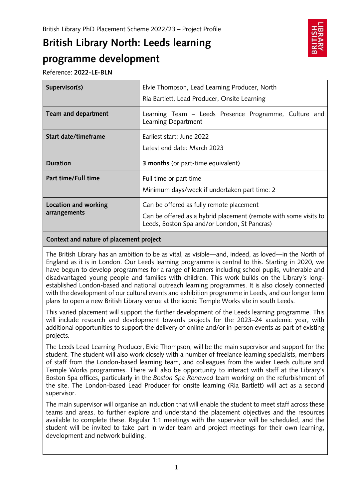# **British Library North: Leeds learning programme development**



Reference: **2022-LE-BLN**

| Supervisor(s)        | Elvie Thompson, Lead Learning Producer, North<br>Ria Bartlett, Lead Producer, Onsite Learning |
|----------------------|-----------------------------------------------------------------------------------------------|
| Team and department  | Learning Team – Leeds Presence Programme, Culture and<br>Learning Department                  |
| Start date/timeframe | Farliest start: June 2022<br>Latest end date: March 2023                                      |
|                      |                                                                                               |
| <b>Duration</b>      | <b>3 months</b> (or part-time equivalent)                                                     |
| Part time/Full time  | Full time or part time<br>Minimum days/week if undertaken part time: 2                        |

# **Context and nature of placement project**

The British Library has an ambition to be as vital, as visible—and, indeed, as loved—in the North of England as it is in London. Our Leeds learning programme is central to this. Starting in 2020, we have begun to develop programmes for a range of learners including school pupils, vulnerable and disadvantaged young people and families with children. This work builds on the Library's longestablished London-based and national outreach learning programmes. It is also closely connected with the development of our cultural events and exhibition programme in Leeds, and our longer term plans to open a new British Library venue at the iconic Temple Works site in south Leeds.

This varied placement will support the further development of the Leeds learning programme. This will include research and development towards projects for the 2023–24 academic year, with additional opportunities to support the delivery of online and/or in-person events as part of existing projects.

The Leeds Lead Learning Producer, Elvie Thompson, will be the main supervisor and support for the student. The student will also work closely with a number of freelance learning specialists, members of staff from the London-based learning team, and colleagues from the wider Leeds culture and Temple Works programmes. There will also be opportunity to interact with staff at the Library's Boston Spa offices, particularly in the *Boston Spa Renewed* team working on the refurbishment of the site. The London-based Lead Producer for onsite learning (Ria Bartlett) will act as a second supervisor.

The main supervisor will organise an induction that will enable the student to meet staff across these teams and areas, to further explore and understand the placement objectives and the resources available to complete these. Regular 1:1 meetings with the supervisor will be scheduled, and the student will be invited to take part in wider team and project meetings for their own learning, development and network building.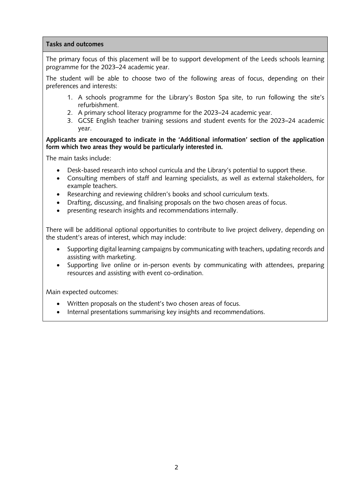## **Tasks and outcomes**

The primary focus of this placement will be to support development of the Leeds schools learning programme for the 2023–24 academic year.

The student will be able to choose two of the following areas of focus, depending on their preferences and interests:

- 1. A schools programme for the Library's Boston Spa site, to run following the site's refurbishment.
- 2. A primary school literacy programme for the 2023–24 academic year.
- 3. GCSE English teacher training sessions and student events for the 2023–24 academic year.

## **Applicants are encouraged to indicate in the 'Additional information' section of the application form which two areas they would be particularly interested in.**

The main tasks include:

- Desk-based research into school curricula and the Library's potential to support these.
- Consulting members of staff and learning specialists, as well as external stakeholders, for example teachers.
- Researching and reviewing children's books and school curriculum texts.
- Drafting, discussing, and finalising proposals on the two chosen areas of focus.
- presenting research insights and recommendations internally.

There will be additional optional opportunities to contribute to live project delivery, depending on the student's areas of interest, which may include:

- Supporting digital learning campaigns by communicating with teachers, updating records and assisting with marketing.
- Supporting live online or in-person events by communicating with attendees, preparing resources and assisting with event co-ordination.

Main expected outcomes:

- Written proposals on the student's two chosen areas of focus.
- Internal presentations summarising key insights and recommendations.